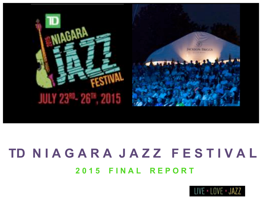

# **2 0 1 5 F I N A L R E P O R T TD N I A G A R A J A Z Z F E S T I V A L**

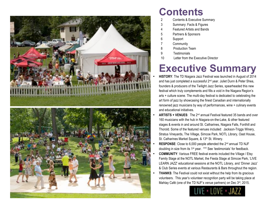



# **Contents**

- 2 Contents & Executive Summary
- 3 Summary: Facts & Figures
- 4 Featured Artists and Bands
- 5 Partners & Sponsors
- 6 Support
- 7 Community
- 8 Production Team
- 9 Testimonials
- 10 Letter from the Executive Director

# **Executive Summary**

- **HISTORY**: The TD Niagara Jazz Festival was launched in August of 2014 and has just completed a successful 2<sup>nd</sup> year. Juliet Dunn & Peter Shea, founders & producers of the Twilight Jazz Series, spearheaded this new festival which truly complements and fills a void in the Niagara Region's arts + culture scene. The multi-day festival is dedicated to celebrating the art form of jazz by showcasing the finest Canadian and internationally renowned jazz musicians by way of performances, wine + culinary events and educational initiatives.
- **ARTISTS + VENUES**: The 2nd annual Festival featured 35 bands and over 160 musicians with the hub in Niagara-on-the-Lake, & other featured stages & events in and around St. Catharines, Niagara Falls, Fonthill and Thorold. Some of the featured venues included: Jackson-Triggs Winery, Stratus Vineyards, The Village, Simcoe Park, NOTL Library, Oast House, St. Catharines Market Square, & 13<sup>th</sup> St. Winery.
- **RESPONSE**: Close to 6,000 people attended the 2nd annual TD NJF doubling in size from its 1st year. \*\*\* See 'testimonials' for feedback.
- **COMMUNITY**: Various FREE festival events included the Village / Etsy Family Stage at the NOTL Market, the Fiesta Stage at Simcoe Park, 'LIVE LEARN JAZZ' educational sessions at the NOTL Library, and 'Dinner Jazz' & Club Series events at various Restaurants & Bars throughout the region.
- **THANKS:** The Festival could not exist without the help from its gracious volunteers. This year's volunteer recognition party will be taking place at Mahtay Café (one of the TD NJF's venue partners) on Dec 3<sup>rd</sup>, 2015.

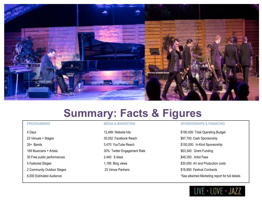

# **Summary: Facts & Figures**

23 Venues + Stages 23 Venues + Stages 23 Venues + Stages 23 Venues + Stages 23 Venues + Stages 25 Octobril 20 35+ Bands 3,470: YouTube Reach \$150,000: In-Kind Sponsorship 169 Musicians + Artists **169 Musicians + Artists** 30 Musicians + Artists **169 Musicians + Artists** 169 Musicians + Artists 169 Musicians + Artists 169 Musicians + Artists 169 Musicians + Artists 169 Musicians 169 Musicians 30 Free public performances 2,440: E-blast \$48,350: Artist Fees 2 Community Outdoor Stages 23 Venue Partners 31 Community Outdoor Stages 23 Venue Partners 516,850: Festival Contracts

# **PROGRAMMING MEDIA & MARKETING SPONSORSHIPS & FINANCING**

4 Days **12,499:** Website hits \$190,000: Total Operating Budget 5 Featured Stages The Stages 1,195: Blog views 1,195: Blog views \$30,000: AV and Production costs 6,000 Estimated Audience \*See attached Marketing report for full details

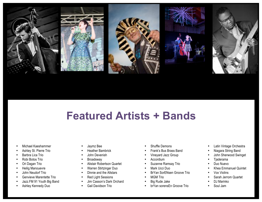

# **Featured Artists + Bands**

**Featured Artists and Bands**

- Michael Kaeshammer
- Ashley St. Pierre Trio
- Barbra Lica Trio
- Robi Botos Trio
- Ori Dagan Trio
- Heilig Manouevre
- John Neudorf Trio
- Genvieve Marentette Trio
- Jazz.FM 91 Youth Big Band
- Ashley Kennedy Duo
- Jaymz Bee
- Heather Bambrick
- John Devenish
- **Broadsway**
- Alistair Robertson Quartet
- Warren Stirtzinger Duo
- Dinnie and the Allstars
- Red Light Sessions
- Jim Casson's Dark Orchard
- Gail Davidson Trio
- Shuffle Demons
- Frank's Bus Brass Band
- Vineyard Jazz Group
- Accordium
- Suzanne Ramsay Trio
- Mark Ucci Duo
- BrYan SorENsen Groove Trio
- MGM Trio
- Big Rude Jake
- brYan sorensEn Groove Trio
- Latin Vintage Orchestra
- Niagara String Band
- John Sherwood Swinget
- Tjaderama
- Duo Nuevo
- Khea Emmanuel Quintet
- Vox Violins
	- Sarah Jerrom Quartet
- DJ Marinko
- Soul Jam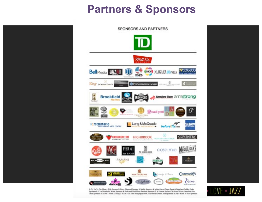# **Partners & Sponsors**



1. Fly Us To The Moon - Title Sponsor 2. Dizzy Diamond Sponsor 3. Media Sponsors 4. Miles Above/Giams Steps/All that Jazz/Golden Dake Sporsors S. It's a Wonderful World Sponsors & Body and Soul/Silver Satulmas Sponsors T. A Passion for Jaco/Get Your Ticket Aboard the Jaco Train Sponsors & 3: Don't Moan A Thing If It Ain't Got That Bling Sponsors 9. Club Series/Dinner June Sponsors 18. My "Kind" of Jazz Sponsors

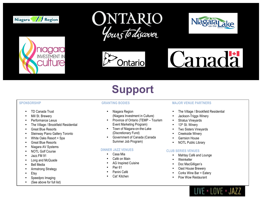



![](_page_5_Picture_2.jpeg)

![](_page_5_Picture_3.jpeg)

![](_page_5_Picture_4.jpeg)

![](_page_5_Picture_5.jpeg)

# **Support**

- TD Canada Trust
- Mill St. Brewery
- Performance Lexus
- The Village / Brookfield Residential
- Great Blue Resorts
- Steinway Piano Gallery Toronto
- White Oaks Resort + Spa
- Great Blue Resorts
- Niagara AV Systems
- NOTL Golf Course
- Jazz.FM 91
- Long and McQuade
- **Bell Media**
- Armstrong Strategy
- **Etsy**
- Speedpro Imaging
- (See above for full list)

- Niagara Region (Niagara Investment in Culture)
- Province of Ontario (TEMP Tourism Event Marketing Program)
- Town of Niagara-on-the-Lake (Discretionary Fund)
- Government of Canada (Canada Summer Job Program)

# **DINNER JAZZ VENUES**

- Casa Mia
- Café on Main
- AG Inspired Cuisine
- Pier 61
- Panini Café
- Cat' Kitchen

# **SPONSORSHIP GRANTING BODIES MAJOR VENUE PARTNERS**

Ъ

- The Village / Brookfield Residential
- Jackson-Triggs Winery
- Stratus Vineyards
- 13<sup>th</sup> St. Winery
- Two Sisters Vineyards
- Creekside Winery
- Garrsion House
- NOTL Public Library

# **CLUB SERIES VENUES**

- Mahtay Café and Lounge
- Weinkeller
- Doc MacGilligan's
- Oast House Brewery
- Corks Wine Bar + Eatery
- Pow Wow Restaurant

![](_page_5_Picture_53.jpeg)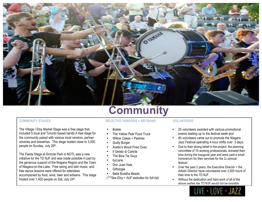![](_page_6_Picture_0.jpeg)

The Village / Etsy Market Stage was a free stage that included 5 local and Toronto based bands A free stage for the community paired with various local vendors, partner wineries and breweries. This stage hosted close to 3,000 people on Sunday, July 26th.

The Fiesta Stage at Simcoe Park in NOTL was a new initiative for the TD NJF and was made possible in part by the generous support of the Niagara Region and the Town of Niagara-on-the-Lake. Free swing and latin music, and free dance lessons were offered for attendees accompanied by food, wine, beer and artisans. This stage hosted over 1,400 people on Sat, July 24<sup>th</sup>.

# **Community**

# **COMMUNITY STAGES SELECTED VENDORS + ARTISANS VOLUNTEERS**

- Bolete
- The Yellow Pear Food Truck
- Willow Cakes + Pastries
- **Guilty Burger**
- Avella's Wood Fired Oven
- Il Gelato di Carlota
- The Bow Tie Guys
- **byLiane**
- Don Juan Hats
- **Giftologie**
- Bella Buddha Beads

*(\*\*\*See Etsy + NJF websites for full list)*

- 25 volunteers assisted with various promotional events leading up to the festival week end
- 80 volunteers came out to promote the Niagara Jazz Festival operating 4-hour shifts over 3 days.
- Due to their strong belief in the project, the planning committee of 15 working professionals, donated their time during the inaugural year and were paid a small honorarium for their services for the 2<sub>nd</sub> annual festival.
- Over the past 2 years, the Executive Director + the Artistic Director have volunteered over 3,000 hours of their time to the TD NJF.
- Without the dedication and hard work of all of the above parties the TD NJF would not be possible..

![](_page_6_Picture_24.jpeg)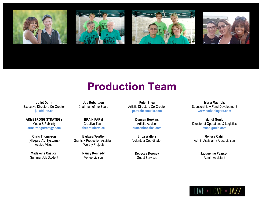![](_page_7_Picture_0.jpeg)

# **Production Team**

**Juliet Dunn** Executive Director / Co-Creator **julietdunn.ca**

**ARMSTRONG STRATEGY** Media & Publicity **armstrongstrategy.com**

**Chris Thompson (Niagara AV Systems)** Audio / Visual

**Madeleine Casucci** Summer Job Student

**Joe Robertson** Chairman of the Board

> **BRAIN FARM** Creative Team **thebrainfarm.ca**

**Barbara Worthy** Grants + Production Assistant Worthy Projects

> **Nancy Kennedy** Venue Liaison

**Peter Shea** Artistic Director / Co-Creator **petersheamusic.com**

> **Duncan Hopkins** Artistic Advisor **duncanhopkins.com**

**Erica Walters** Volunteer Coordinator

> **Rebecca Rooney** Guest Services

**Maria Mavridis** Sponsorship + Fund Development **www.corksniagara.com**

**Mandi Gould** Director of Operations & Logistics **mandigould.com**

**Melissa Cahill** Admin Assistant / Artist Liaison

> **Jacqueline Pearson** Admin Assistant

![](_page_7_Picture_18.jpeg)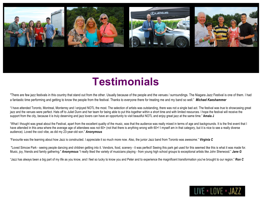![](_page_8_Picture_0.jpeg)

# **Testimonials**

"There are few jazz festivals in this country that stand out from the other. Usually because of the people and the venues / surroundings. The Niagara Jazz Festival is one of them. I had a fantastic time performing and getting to know the people from the festival. Thanks to everyone there for treating me and my band so well." *Michael Kaeshammer*

"I have attended Toronto, Montreal, Monterrey and I enjoyed NOTL the most. The selection of artists was outstanding, there was not a single bad act. The festival was true to showcasing great jazz and the venues were perfect. Hats off to Juliet Dunn and her team for being able to put this together within a short time and with limited resources. I hope the festival will receive the support from the city, because it is truly deserving and jazz lovers can have an opportunity to visit beautiful NOTL and enjoy great jazz at the same time." **Amala J**

"What I thought was great about the Festival, apart from the excellent quality of the music, was that the audience was really mixed in terms of age and backgrounds. It is the first event that I have attended in this area where the average age of attendees was not 60+ (not that there is anything wrong with 60+! I myself am in that category, but it is nice to see a really diverse audience). Loved the cool vibe, as did my 23-year-old son." *Anonymous*

"Favourite was the learning about how Jazz is constructed. I appreciate it so much more now. Also, the junior Jazz band from Toronto was awesome." *Virginia C*

"Loved Simcoe Park - seeing people dancing and children getting into it. Vendors, food, scenery - it was perfect! Seeing this park get used for this seemed like this is what it was made for. Music, joy, friends and family gathering." *Anonymous* "I really liked the variety of musicians playing - from young high school groups to exceptional artists like John Sherwood." *Jane G* 

"Jazz has always been a big part of my life as you know, and I feel so lucky to know you and Peter and to experience the magnificent transformation you've brought to our region." *Ron C*

![](_page_8_Picture_8.jpeg)